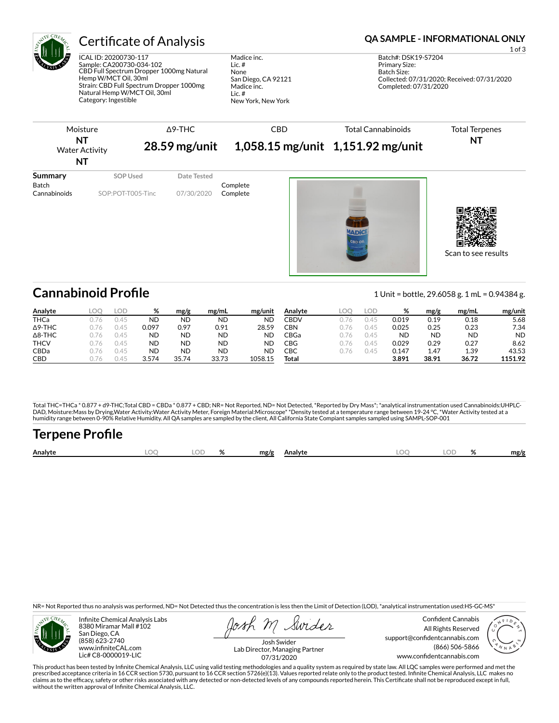

## Certificate of Analysis **Certificate of Analysis QA SAMPLE - INFORMATIONAL ONLY**

ICAL ID: 20200730-117 Sample: CA200730-034-102 CBD Full Spectrum Dropper 1000mg Natural Hemp W/MCT Oil, 30ml Strain: CBD Full Spectrum Dropper 1000mg Natural Hemp W/MCT Oil, 30ml Category: Ingestible

Madice inc. Lic. # None San Diego, CA 92121 Madice inc. Lic. # New York, New York

1 of 3

| <b>Water Activity</b><br>NT             |                               | $\triangle$ 9-THC<br>$28.59$ mg/unit |                      | 1,058.15 mg/unit 1,151.92 mg/unit | <b>Total Terpenes</b><br>NT |  |
|-----------------------------------------|-------------------------------|--------------------------------------|----------------------|-----------------------------------|-----------------------------|--|
| Summary<br><b>Batch</b><br>Cannabinoids | SOP Used<br>SOP:POT-T005-Tinc | Date Tested<br>07/30/2020            | Complete<br>Complete |                                   |                             |  |

Scan to see results

## **Cannabinoid Profile** 1 Unit = bottle, 29.6058 g. 1 mL = 0.94384 g.

**Analyte LOQ LOD % mg/g mg/mL mg/unit** THCa 0.76 0.45 ND ND ND ND Δ9-THC 0.76 0.45 0.097 0.97 0.91 28.59 Δ8-THC 0.76 0.45 ND ND ND ND **THCV** 0.76 0.45 **ND ND ND ND** CBDa 0.76 0.45 ND ND ND ND CBD 0.76 0.45 3.574 35.74 33.73 1058.15 **Analyte LOQ LOD % mg/g mg/mL mg/unit** CBDV 0.76 0.45 0.019 0.19 0.18 5.68 CBN 0.76 0.45 0.025 0.25 0.23 7.34 CBGa 0.76 0.45 ND ND ND ND CBG 0.76 0.45 0.029 0.29 0.27 8.62 CBC 0.76 0.45 0.147 1.47 1.39 43.53 **Total 3.891 38.91 36.72 1151.92**

Total THC=THCa \* 0.877 + d9-THC;Total CBD = CBDa \* 0.877 + CBD; NR= Not Reported, ND= Not Detected, \*Reported by Dry Mass\*; \*analytical instrumentation used Cannabinoids:UHPLC-DAD, Moisture:Mass by Drying,Water Activity:Water Activity Meter, Foreign Material:Microscope\* \*Density tested at a temperature range between 19-24 °C, \*Water Activity tested at a<br>humidity range between 0-90% Relative Humi

# Terpene Profile

| Analyte | DГ | $\overline{\phantom{a}}$ | mg/g | Analyte |  | ΩZ | mg/g |
|---------|----|--------------------------|------|---------|--|----|------|
|         |    |                          |      |         |  |    |      |

NR= Not Reported thus no analysis was performed, ND= Not Detected thus the concentration is less then the Limit of Detection (LOD), \*analytical instrumentation used:HS-GC-MS\*



Infinite Chemical Analysis Labs 8380 Miramar Mall #102 San Diego, CA (858) 623-2740 www.infiniteCAL.com Lic# C8-0000019-LIC

Swider

Confident Cannabis All Rights Reserved support@confidentcannabis.com (866) 506-5866 www.condentcannabis.com



Josh Swider Lab Director, Managing Partner 07/31/2020

This product has been tested by Infinite Chemical Analysis, LLC using valid testing methodologies and a quality system as required by state law. All LQC samples were performed and met the prescribed acceptance criteria in 16 CCR section 5730, pursuant to 16 CCR section 5726(e)(13). Values reported relate only to the product tested. Infinite Chemical Analysis, LLC makes no<br>claims as to the efficacy, safety o without the written approval of Infinite Chemical Analysis, LLC.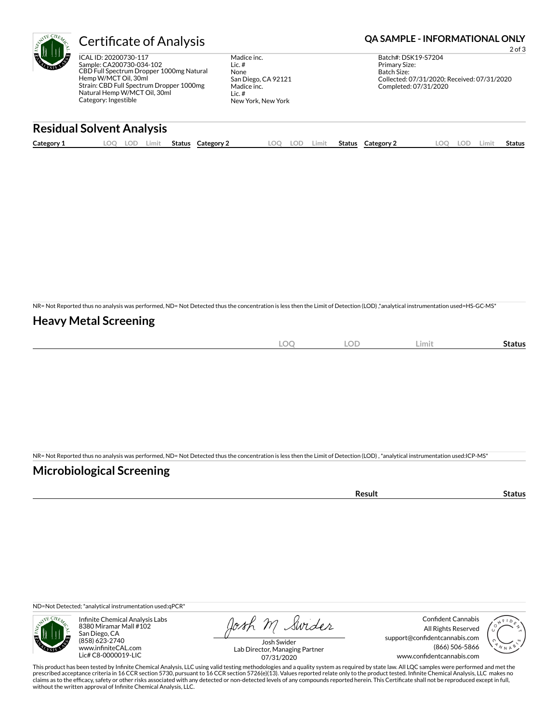

## Certificate of Analysis **Certificate of Analysis QA SAMPLE - INFORMATIONAL ONLY**

ICAL ID: 20200730-117 Sample: CA200730-034-102 CBD Full Spectrum Dropper 1000mg Natural Hemp W/MCT Oil, 30ml Strain: CBD Full Spectrum Dropper 1000mg Natural Hemp W/MCT Oil, 30ml Category: Ingestible

Madice inc. Lic. # None San Diego, CA 92121 Madice inc. Lic. # New York, New York

2 of 3 Batch#: DSK19-S7204 Primary Size: Batch Size: Collected: 07/31/2020; Received: 07/31/2020 Completed: 07/31/2020

### **Residual Solvent Analysis**

| Category 1 | LOO<br>LOD | Limit | Status | Category 2 | LOQ | LOD | ∟imit | Status | Category 2 | .OO | LOD | Limit | Status |
|------------|------------|-------|--------|------------|-----|-----|-------|--------|------------|-----|-----|-------|--------|
|            |            |       |        |            |     |     |       |        |            |     |     |       |        |

NR= Not Reported thus no analysis was performed, ND= Not Detected thus the concentration is less then the Limit of Detection (LOD) ,\*analytical instrumentation used=HS-GC-MS\*

### **Heavy Metal Screening**

| ∽<br>$-$<br>$\sim$ | $\cap$<br>- 10<br>$\sim$ | Limit | status |
|--------------------|--------------------------|-------|--------|
|                    |                          |       |        |

NR= Not Reported thus no analysis was performed, ND= Not Detected thus the concentration is less then the Limit of Detection (LOD) , \*analytical instrumentation used:ICP-MS\*

### **Microbiological Screening**

| ` sult ∴ |  |
|----------|--|
|          |  |

ND=Not Detected; \*analytical instrumentation used:qPCR\*



Infinite Chemical Analysis Labs 8380 Miramar Mall #102 San Diego, CA (858) 623-2740 www.infiniteCAL.com Lic# C8-0000019-LIC

Josh M Swider

Confident Cannabis All Rights Reserved support@confidentcannabis.com (866) 506-5866 www.confidentcannabis.com



Josh Swider Lab Director, Managing Partner 07/31/2020

This product has been tested by Infinite Chemical Analysis, LLC using valid testing methodologies and a quality system as required by state law. All LQC samples were performed and met the prescribed acceptance criteria in 16 CCR section 5730, pursuant to 16 CCR section 5726(e)(13). Values reported relate only to the product tested. Infinite Chemical Analysis, LLC makes no<br>claims as to the efficacy, safety o without the written approval of Infinite Chemical Analysis, LLC.